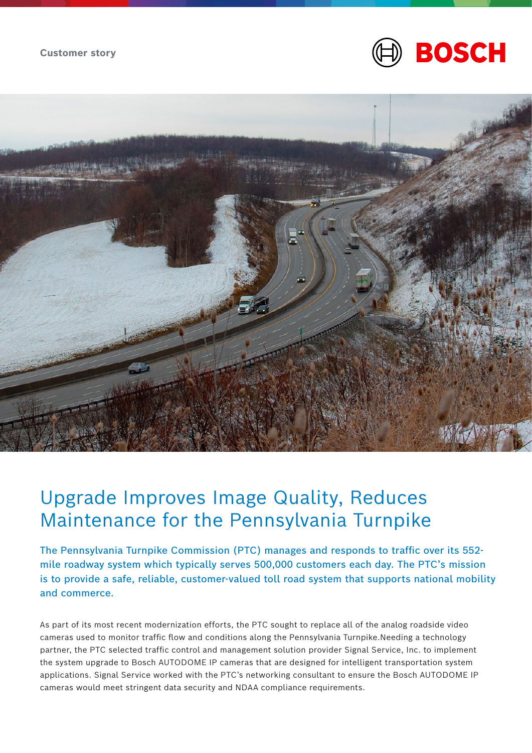



## Upgrade Improves Image Quality, Reduces Maintenance for the Pennsylvania Turnpike

The Pennsylvania Turnpike Commission (PTC) manages and responds to traffic over its 552 mile roadway system which typically serves 500,000 customers each day. The PTC's mission is to provide a safe, reliable, customer-valued toll road system that supports national mobility and commerce.

As part of its most recent modernization efforts, the PTC sought to replace all of the analog roadside video cameras used to monitor traffic flow and conditions along the Pennsylvania Turnpike.Needing a technology partner, the PTC selected traffic control and management solution provider Signal Service, Inc. to implement the system upgrade to Bosch AUTODOME IP cameras that are designed for intelligent transportation system applications. Signal Service worked with the PTC's networking consultant to ensure the Bosch AUTODOME IP cameras would meet stringent data security and NDAA compliance requirements.